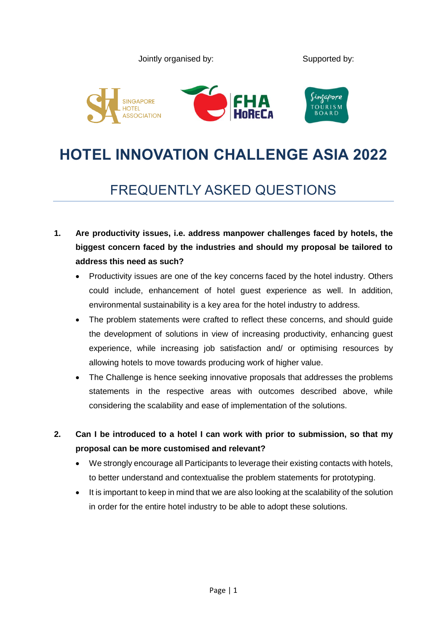

# **HOTEL INNOVATION CHALLENGE ASIA 2022**

# FREQUENTLY ASKED QUESTIONS

- **1. Are productivity issues, i.e. address manpower challenges faced by hotels, the biggest concern faced by the industries and should my proposal be tailored to address this need as such?** 
	- Productivity issues are one of the key concerns faced by the hotel industry. Others could include, enhancement of hotel guest experience as well. In addition, environmental sustainability is a key area for the hotel industry to address.
	- The problem statements were crafted to reflect these concerns, and should guide the development of solutions in view of increasing productivity, enhancing guest experience, while increasing job satisfaction and/ or optimising resources by allowing hotels to move towards producing work of higher value.
	- The Challenge is hence seeking innovative proposals that addresses the problems statements in the respective areas with outcomes described above, while considering the scalability and ease of implementation of the solutions.
- **2. Can I be introduced to a hotel I can work with prior to submission, so that my proposal can be more customised and relevant?**
	- We strongly encourage all Participants to leverage their existing contacts with hotels, to better understand and contextualise the problem statements for prototyping.
	- It is important to keep in mind that we are also looking at the scalability of the solution in order for the entire hotel industry to be able to adopt these solutions.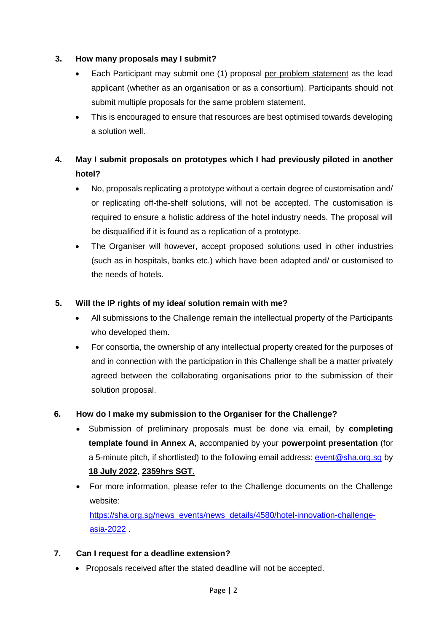#### **3. How many proposals may I submit?**

- Each Participant may submit one (1) proposal per problem statement as the lead applicant (whether as an organisation or as a consortium). Participants should not submit multiple proposals for the same problem statement.
- This is encouraged to ensure that resources are best optimised towards developing a solution well.

### **4. May I submit proposals on prototypes which I had previously piloted in another hotel?**

- No, proposals replicating a prototype without a certain degree of customisation and/ or replicating off-the-shelf solutions, will not be accepted. The customisation is required to ensure a holistic address of the hotel industry needs. The proposal will be disqualified if it is found as a replication of a prototype.
- The Organiser will however, accept proposed solutions used in other industries (such as in hospitals, banks etc.) which have been adapted and/ or customised to the needs of hotels.

#### **5. Will the IP rights of my idea/ solution remain with me?**

- All submissions to the Challenge remain the intellectual property of the Participants who developed them.
- For consortia, the ownership of any intellectual property created for the purposes of and in connection with the participation in this Challenge shall be a matter privately agreed between the collaborating organisations prior to the submission of their solution proposal.

#### **6. How do I make my submission to the Organiser for the Challenge?**

- Submission of preliminary proposals must be done via email, by **completing template found in Annex A**, accompanied by your **powerpoint presentation** (for a 5-minute pitch, if shortlisted) to the following email address: [event@sha.org.sg](mailto:event@sha.org.sg) by **18 July 2022**, **2359hrs SGT.**
- For more information, please refer to the Challenge documents on the Challenge website: [https://sha.org.sg/news\\_events/news\\_details/4580/hotel-innovation-challenge](https://sha.org.sg/news_events/news_details/4580/hotel-innovation-challenge-asia-2022)[asia-2022](https://sha.org.sg/news_events/news_details/4580/hotel-innovation-challenge-asia-2022) .

#### **7. Can I request for a deadline extension?**

Proposals received after the stated deadline will not be accepted.